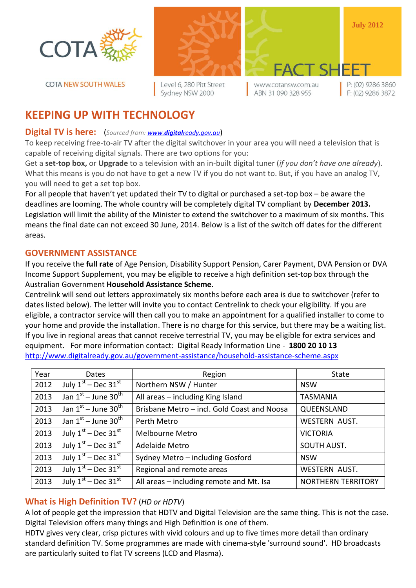

**COTA NEW SOUTH WALES** 



Level 6, 280 Pitt Street Sydney NSW 2000

www.cotansw.com.au ABN 31 090 328 955

FACT SH

P: (02) 9286 3860 F: (02) 9286 3872

**July 2012**

# **KEEPING UP WITH TECHNOLOGY**

### **Digital TV is here:** (*Sourced from: www.digital[ready.gov.au](http://www.digitalready.gov.au/)*)

To keep receiving free-to-air TV after the digital switchover in your area you will need a television that is capable of receiving digital signals. There are two options for you:

Get a **set-top box,** or **Upgrade** to a television with an in-built digital tuner (*if you don't have one already*). What this means is you do not have to get a new TV if you do not want to. But, if you have an analog TV, you will need to get a set top box.

For all people that haven't yet updated their TV to digital or purchased a set-top box – be aware the deadlines are looming. The whole country will be completely digital TV compliant by **December 2013.** Legislation will limit the ability of the Minister to extend the switchover to a maximum of six months. This means the final date can not exceed 30 June, 2014. Below is a list of the switch off dates for the different areas.

# **GOVERNMENT ASSISTANCE**

If you receive the **full rate** of Age Pension, Disability Support Pension, Carer Payment, DVA Pension or DVA Income Support Supplement, you may be eligible to receive a high definition set-top box through the Australian Government **Household Assistance Scheme**.

Centrelink will send out letters approximately six months before each area is due to switchover (refer to dates listed below). The letter will invite you to contact Centrelink to check your eligibility. If you are eligible, a contractor service will then call you to make an appointment for a qualified installer to come to your home and provide the installation. There is no charge for this service, but there may be a waiting list. If you live in regional areas that cannot receive terrestrial TV, you may be eligible for extra services and equipment. For more information contact: Digital Ready Information Line - **1800 20 10 13** <http://www.digitalready.gov.au/government-assistance/household-assistance-scheme.aspx>

| Year | <b>Dates</b>                         | Region                                      | State                     |
|------|--------------------------------------|---------------------------------------------|---------------------------|
| 2012 | July $1st$ – Dec 31 <sup>st</sup>    | Northern NSW / Hunter                       | <b>NSW</b>                |
| 2013 | Jan $1^{st}$ – June 30 <sup>th</sup> | All areas - including King Island           | <b>TASMANIA</b>           |
| 2013 | Jan $1^{st}$ – June 30 <sup>th</sup> | Brisbane Metro - incl. Gold Coast and Noosa | QUEENSLAND                |
| 2013 | Jan $1^{st}$ – June 30 <sup>th</sup> | Perth Metro                                 | WESTERN AUST.             |
| 2013 | July $1st$ – Dec 31 <sup>st</sup>    | Melbourne Metro                             | <b>VICTORIA</b>           |
| 2013 | July $1st$ – Dec 31st                | Adelaide Metro                              | SOUTH AUST.               |
| 2013 | July $1st$ – Dec 31 $st$             | Sydney Metro - including Gosford            | <b>NSW</b>                |
| 2013 | July $1st$ – Dec 31 $st$             | Regional and remote areas                   | <b>WESTERN AUST.</b>      |
| 2013 | July $1st$ – Dec $31st$              | All areas – including remote and Mt. Isa    | <b>NORTHERN TERRITORY</b> |

# **What is High Definition TV?** (*HD or HDTV*)

A lot of people get the impression that HDTV and Digital Television are the same thing. This is not the case. Digital Television offers many things and High Definition is one of them.

HDTV gives very clear, crisp pictures with vivid colours and up to five times more detail than ordinary standard definition TV. Some programmes are made with cinema-style 'surround sound'. HD broadcasts are particularly suited to flat TV screens (LCD and Plasma).